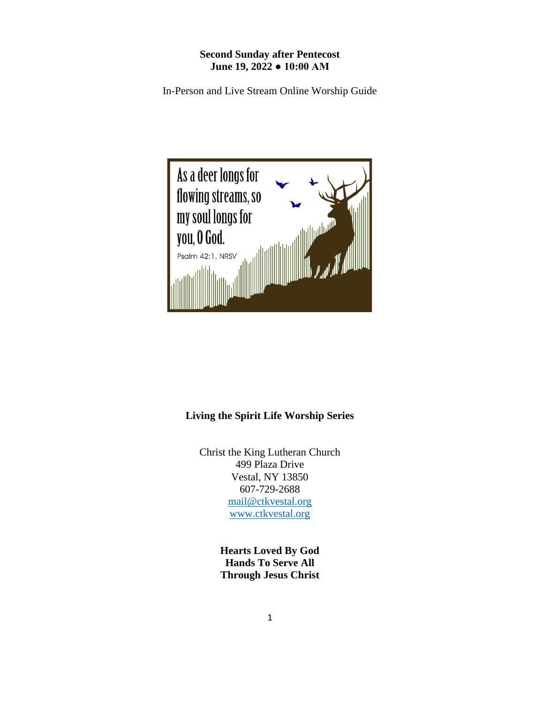# **Second Sunday after Pentecost June 19, 2022 ● 10:00 AM**

In-Person and Live Stream Online Worship Guide



# **Living the Spirit Life Worship Series**

Christ the King Lutheran Church 499 Plaza Drive Vestal, NY 13850 607-729-2688 [mail@ctkvestal.org](mailto:mail@ctkvestal.org) [www.ctkvestal.org](http://www.ctkvestal.org/)

> **Hearts Loved By God Hands To Serve All Through Jesus Christ**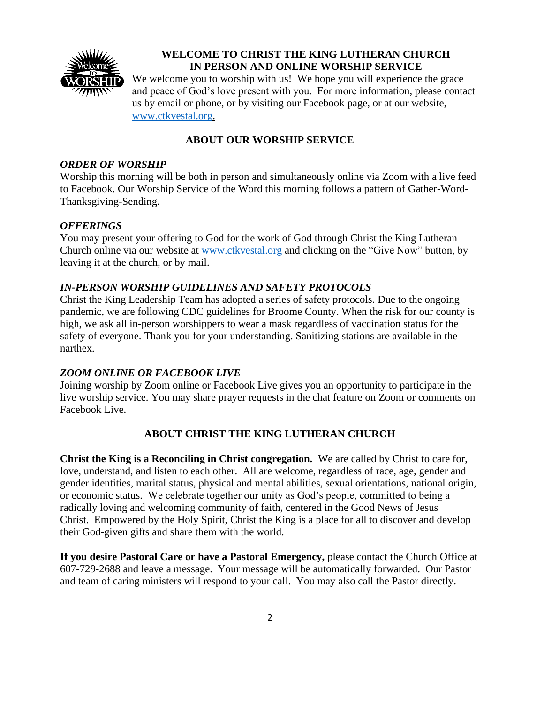

# **WELCOME TO CHRIST THE KING LUTHERAN CHURCH IN PERSON AND ONLINE WORSHIP SERVICE**

We welcome you to worship with us! We hope you will experience the grace and peace of God's love present with you. For more information, please contact us by email or phone, or by visiting our Facebook page, or at our website, [www.ctkvestal.org.](http://www.ctkvestal.org/)

# **ABOUT OUR WORSHIP SERVICE**

# *ORDER OF WORSHIP*

Worship this morning will be both in person and simultaneously online via Zoom with a live feed to Facebook. Our Worship Service of the Word this morning follows a pattern of Gather-Word-Thanksgiving-Sending.

# *OFFERINGS*

You may present your offering to God for the work of God through Christ the King Lutheran Church online via our website at [www.ctkvestal.org](http://www.ctkvestal.orga/) and clicking on the "Give Now" button, by leaving it at the church, or by mail.

# *IN-PERSON WORSHIP GUIDELINES AND SAFETY PROTOCOLS*

Christ the King Leadership Team has adopted a series of safety protocols. Due to the ongoing pandemic, we are following CDC guidelines for Broome County. When the risk for our county is high, we ask all in-person worshippers to wear a mask regardless of vaccination status for the safety of everyone. Thank you for your understanding. Sanitizing stations are available in the narthex.

# *ZOOM ONLINE OR FACEBOOK LIVE*

Joining worship by Zoom online or Facebook Live gives you an opportunity to participate in the live worship service. You may share prayer requests in the chat feature on Zoom or comments on Facebook Live.

# **ABOUT CHRIST THE KING LUTHERAN CHURCH**

**Christ the King is a Reconciling in Christ congregation.** We are called by Christ to care for, love, understand, and listen to each other. All are welcome, regardless of race, age, gender and gender identities, marital status, physical and mental abilities, sexual orientations, national origin, or economic status. We celebrate together our unity as God's people, committed to being a radically loving and welcoming community of faith, centered in the Good News of Jesus Christ. Empowered by the Holy Spirit, Christ the King is a place for all to discover and develop their God-given gifts and share them with the world.

**If you desire Pastoral Care or have a Pastoral Emergency,** please contact the Church Office at 607-729-2688 and leave a message. Your message will be automatically forwarded. Our Pastor and team of caring ministers will respond to your call. You may also call the Pastor directly.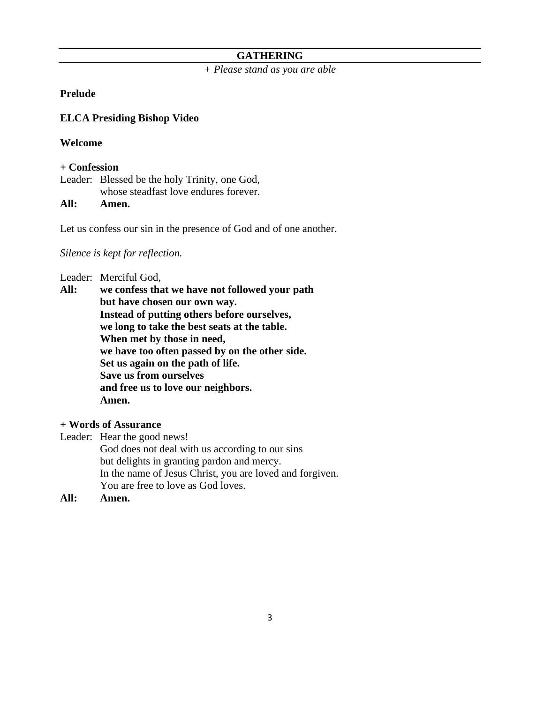## **GATHERING**

*+ Please stand as you are able*

# **Prelude**

#### **ELCA Presiding Bishop Video**

### **Welcome**

#### **+ Confession**

Leader: Blessed be the holy Trinity, one God, whose steadfast love endures forever.

#### **All: Amen.**

Let us confess our sin in the presence of God and of one another.

#### *Silence is kept for reflection.*

Leader: Merciful God,

**All: we confess that we have not followed your path but have chosen our own way. Instead of putting others before ourselves, we long to take the best seats at the table. When met by those in need, we have too often passed by on the other side. Set us again on the path of life. Save us from ourselves and free us to love our neighbors. Amen.**

### **+ Words of Assurance**

Leader: Hear the good news!

God does not deal with us according to our sins but delights in granting pardon and mercy. In the name of Jesus Christ, you are loved and forgiven. You are free to love as God loves.

**All: Amen.**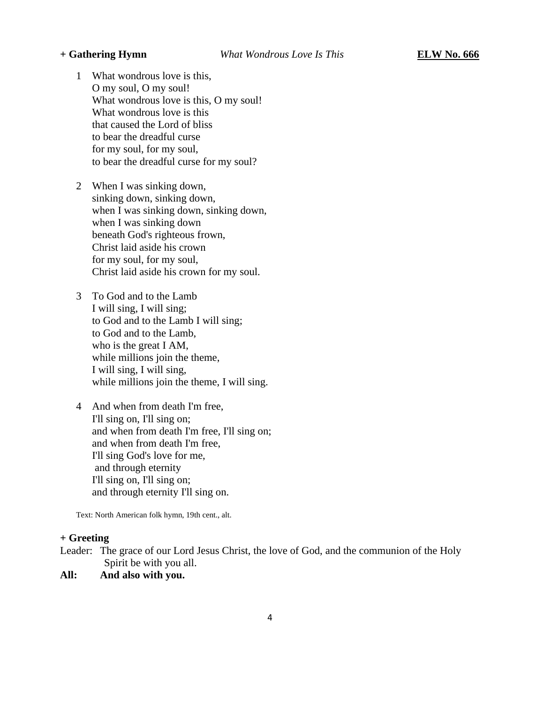- 1 What wondrous love is this, O my soul, O my soul! What wondrous love is this, O my soul! What wondrous love is this that caused the Lord of bliss to bear the dreadful curse for my soul, for my soul, to bear the dreadful curse for my soul?
- 2 When I was sinking down, sinking down, sinking down, when I was sinking down, sinking down, when I was sinking down beneath God's righteous frown, Christ laid aside his crown for my soul, for my soul, Christ laid aside his crown for my soul.
- 3 To God and to the Lamb I will sing, I will sing; to God and to the Lamb I will sing; to God and to the Lamb, who is the great I AM, while millions join the theme, I will sing, I will sing, while millions join the theme, I will sing.
- 4 And when from death I'm free, I'll sing on, I'll sing on; and when from death I'm free, I'll sing on; and when from death I'm free, I'll sing God's love for me, and through eternity I'll sing on, I'll sing on; and through eternity I'll sing on.

Text: North American folk hymn, 19th cent., alt.

#### **+ Greeting**

Leader: The grace of our Lord Jesus Christ, the love of God, and the communion of the Holy Spirit be with you all.

#### **All: And also with you.**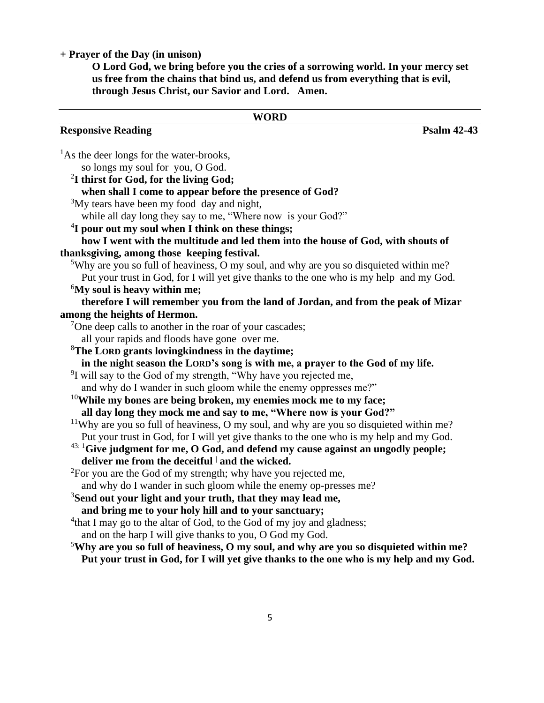**+ Prayer of the Day (in unison)**

**O Lord God, we bring before you the cries of a sorrowing world. In your mercy set us free from the chains that bind us, and defend us from everything that is evil, through Jesus Christ, our Savior and Lord. Amen.**

| <b>WORD</b>                                                                                                                                                                                   |  |  |  |
|-----------------------------------------------------------------------------------------------------------------------------------------------------------------------------------------------|--|--|--|
| <b>Responsive Reading</b><br><b>Psalm 42-43</b>                                                                                                                                               |  |  |  |
| <sup>1</sup> As the deer longs for the water-brooks,                                                                                                                                          |  |  |  |
| so longs my soul for you, O God.                                                                                                                                                              |  |  |  |
| <sup>2</sup> I thirst for God, for the living God;                                                                                                                                            |  |  |  |
| when shall I come to appear before the presence of God?                                                                                                                                       |  |  |  |
| <sup>3</sup> My tears have been my food day and night,                                                                                                                                        |  |  |  |
| while all day long they say to me, "Where now is your God?"                                                                                                                                   |  |  |  |
| <sup>4</sup> I pour out my soul when I think on these things;                                                                                                                                 |  |  |  |
| how I went with the multitude and led them into the house of God, with shouts of                                                                                                              |  |  |  |
| thanksgiving, among those keeping festival.                                                                                                                                                   |  |  |  |
| <sup>5</sup> Why are you so full of heaviness, O my soul, and why are you so disquieted within me?                                                                                            |  |  |  |
| Put your trust in God, for I will yet give thanks to the one who is my help and my God.                                                                                                       |  |  |  |
| <sup>6</sup> My soul is heavy within me;                                                                                                                                                      |  |  |  |
| therefore I will remember you from the land of Jordan, and from the peak of Mizar                                                                                                             |  |  |  |
| among the heights of Hermon.                                                                                                                                                                  |  |  |  |
| <sup>7</sup> One deep calls to another in the roar of your cascades;                                                                                                                          |  |  |  |
| all your rapids and floods have gone over me.                                                                                                                                                 |  |  |  |
| <sup>8</sup> The LORD grants lovingkindness in the daytime;                                                                                                                                   |  |  |  |
| in the night season the LORD's song is with me, a prayer to the God of my life.                                                                                                               |  |  |  |
| <sup>9</sup> I will say to the God of my strength, "Why have you rejected me,                                                                                                                 |  |  |  |
| and why do I wander in such gloom while the enemy oppresses me?"                                                                                                                              |  |  |  |
| $10$ While my bones are being broken, my enemies mock me to my face;                                                                                                                          |  |  |  |
| all day long they mock me and say to me, "Where now is your God?"                                                                                                                             |  |  |  |
| <sup>11</sup> Why are you so full of heaviness, O my soul, and why are you so disquieted within me?                                                                                           |  |  |  |
| Put your trust in God, for I will yet give thanks to the one who is my help and my God.                                                                                                       |  |  |  |
| $43:1$ Give judgment for me, O God, and defend my cause against an ungodly people;                                                                                                            |  |  |  |
| deliver me from the deceitful   and the wicked.                                                                                                                                               |  |  |  |
| ${}^{2}$ For you are the God of my strength; why have you rejected me,                                                                                                                        |  |  |  |
| and why do I wander in such gloom while the enemy op-presses me?                                                                                                                              |  |  |  |
| <sup>3</sup> Send out your light and your truth, that they may lead me,                                                                                                                       |  |  |  |
| and bring me to your holy hill and to your sanctuary;                                                                                                                                         |  |  |  |
| <sup>4</sup> that I may go to the altar of God, to the God of my joy and gladness;                                                                                                            |  |  |  |
| and on the harp I will give thanks to you, O God my God.                                                                                                                                      |  |  |  |
| <sup>5</sup> Why are you so full of heaviness, O my soul, and why are you so disquieted within me?<br>Put your trust in God, for I will yet give thanks to the one who is my help and my God. |  |  |  |

5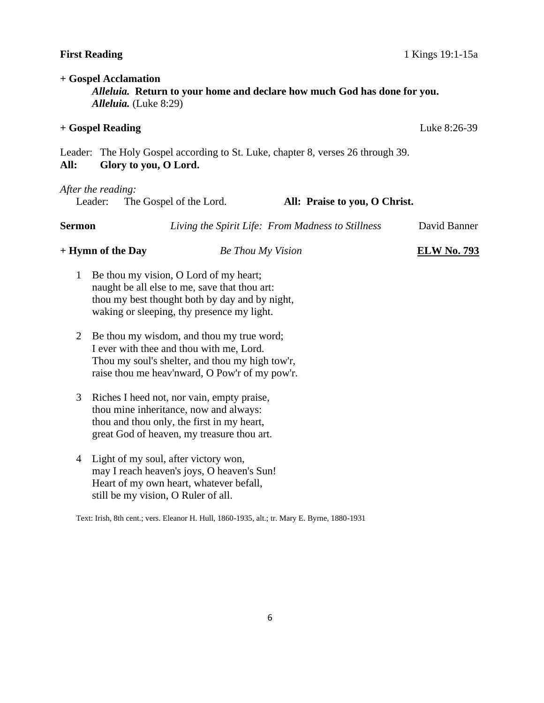| After the reading: |                                 |                               |
|--------------------|---------------------------------|-------------------------------|
|                    | Leader: The Gospel of the Lord. | All: Praise to you, O Christ. |

**Sermon** *Living the Spirit Life: From Madness to Stillness* David Banner

#### **+ Hymn of the Day** *Be Thou My Vision* **ELW No. 793**

- 1 Be thou my vision, O Lord of my heart; naught be all else to me, save that thou art: thou my best thought both by day and by night, waking or sleeping, thy presence my light.
- 2 Be thou my wisdom, and thou my true word; I ever with thee and thou with me, Lord. Thou my soul's shelter, and thou my high tow'r, raise thou me heav'nward, O Pow'r of my pow'r.
- 3 Riches I heed not, nor vain, empty praise, thou mine inheritance, now and always: thou and thou only, the first in my heart, great God of heaven, my treasure thou art.
- 4 Light of my soul, after victory won, may I reach heaven's joys, O heaven's Sun! Heart of my own heart, whatever befall, still be my vision, O Ruler of all.

Text: Irish, 8th cent.; vers. Eleanor H. Hull, 1860-1935, alt.; tr. Mary E. Byrne, 1880-1931

## **First Reading 1 Kings 19:1-15a**

# **+ Gospel Acclamation** *Alleluia.* **Return to your home and declare how much God has done for you.**  *Alleluia.* (Luke 8:29)

Leader: The Holy Gospel according to St. Luke, chapter 8, verses 26 through 39. **All: Glory to you, O Lord.**

**+ Gospel Reading** Luke 8:26-39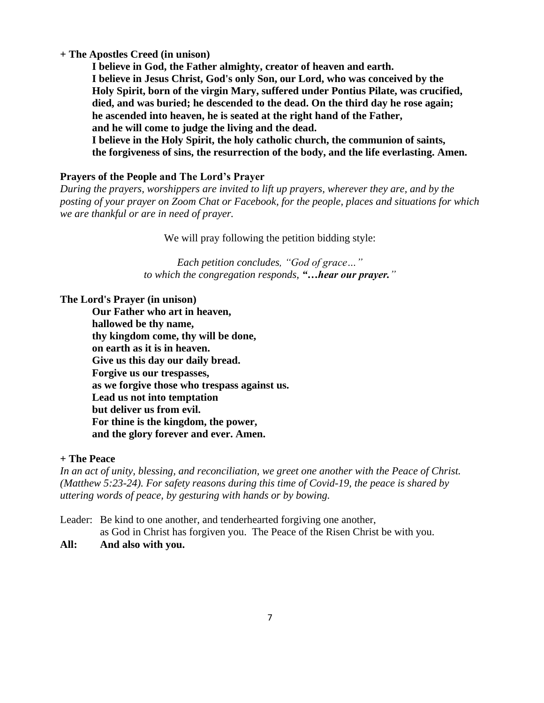#### **+ The Apostles Creed (in unison)**

**I believe in God, the Father almighty, creator of heaven and earth. I believe in Jesus Christ, God's only Son, our Lord, who was conceived by the Holy Spirit, born of the virgin Mary, suffered under Pontius Pilate, was crucified, died, and was buried; he descended to the dead. On the third day he rose again; he ascended into heaven, he is seated at the right hand of the Father, and he will come to judge the living and the dead.**

**I believe in the Holy Spirit, the holy catholic church, the communion of saints, the forgiveness of sins, the resurrection of the body, and the life everlasting. Amen.**

#### **Prayers of the People and The Lord's Prayer**

*During the prayers, worshippers are invited to lift up prayers, wherever they are, and by the posting of your prayer on Zoom Chat or Facebook, for the people, places and situations for which we are thankful or are in need of prayer.* 

We will pray following the petition bidding style:

*Each petition concludes, "God of grace…" to which the congregation responds, "…hear our prayer."*

#### **The Lord's Prayer (in unison)**

**Our Father who art in heaven, hallowed be thy name, thy kingdom come, thy will be done, on earth as it is in heaven. Give us this day our daily bread. Forgive us our trespasses, as we forgive those who trespass against us. Lead us not into temptation but deliver us from evil. For thine is the kingdom, the power, and the glory forever and ever. Amen.**

#### **+ The Peace**

*In an act of unity, blessing, and reconciliation, we greet one another with the Peace of Christ. (Matthew 5:23-24). For safety reasons during this time of Covid-19, the peace is shared by uttering words of peace, by gesturing with hands or by bowing.*

Leader: Be kind to one another, and tenderhearted forgiving one another, as God in Christ has forgiven you. The Peace of the Risen Christ be with you.

**All: And also with you.**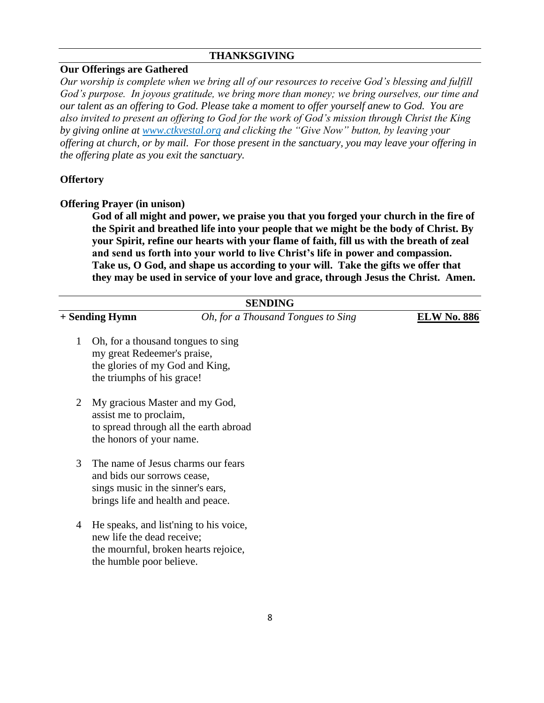#### **THANKSGIVING**

#### **Our Offerings are Gathered**

*Our worship is complete when we bring all of our resources to receive God's blessing and fulfill God's purpose. In joyous gratitude, we bring more than money; we bring ourselves, our time and our talent as an offering to God. Please take a moment to offer yourself anew to God. You are also invited to present an offering to God for the work of God's mission through Christ the King by giving online at [www.ctkvestal.org](http://www.ctkvestal.org/) and clicking the "Give Now" button, by leaving your offering at church, or by mail. For those present in the sanctuary, you may leave your offering in the offering plate as you exit the sanctuary.*

#### **Offertory**

#### **Offering Prayer (in unison)**

**God of all might and power, we praise you that you forged your church in the fire of the Spirit and breathed life into your people that we might be the body of Christ. By your Spirit, refine our hearts with your flame of faith, fill us with the breath of zeal and send us forth into your world to live Christ's life in power and compassion. Take us, O God, and shape us according to your will. Take the gifts we offer that they may be used in service of your love and grace, through Jesus the Christ. Amen.**

| Oh, for a Thousand Tongues to Sing | <b>ELW No. 886</b>                                                                                                                                                                                                                                                                                                                                                                                                                                                                                                                                                                |
|------------------------------------|-----------------------------------------------------------------------------------------------------------------------------------------------------------------------------------------------------------------------------------------------------------------------------------------------------------------------------------------------------------------------------------------------------------------------------------------------------------------------------------------------------------------------------------------------------------------------------------|
|                                    |                                                                                                                                                                                                                                                                                                                                                                                                                                                                                                                                                                                   |
|                                    |                                                                                                                                                                                                                                                                                                                                                                                                                                                                                                                                                                                   |
|                                    |                                                                                                                                                                                                                                                                                                                                                                                                                                                                                                                                                                                   |
|                                    |                                                                                                                                                                                                                                                                                                                                                                                                                                                                                                                                                                                   |
| + Sending Hymn                     | <b>SENDING</b><br>Oh, for a thousand tongues to sing<br>my great Redeemer's praise,<br>the glories of my God and King,<br>the triumphs of his grace!<br>My gracious Master and my God,<br>assist me to proclaim,<br>to spread through all the earth abroad<br>the honors of your name.<br>The name of Jesus charms our fears<br>and bids our sorrows cease,<br>sings music in the sinner's ears,<br>brings life and health and peace.<br>He speaks, and list ning to his voice,<br>new life the dead receive;<br>the mournful, broken hearts rejoice,<br>the humble poor believe. |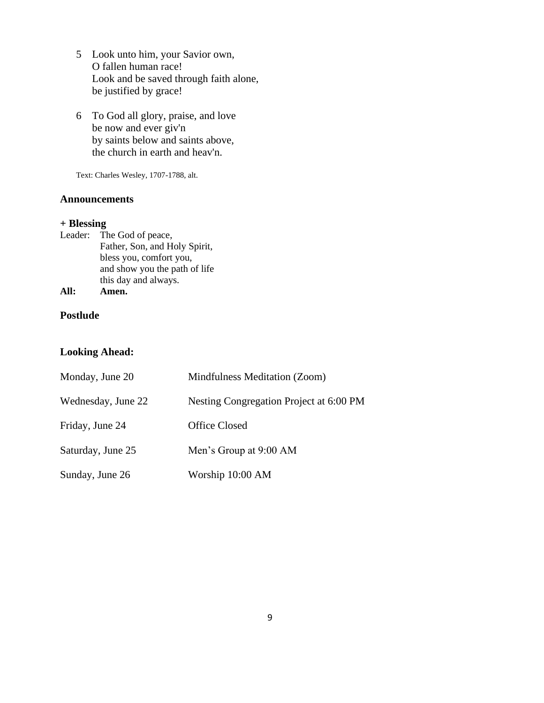- 5 Look unto him, your Savior own, O fallen human race! Look and be saved through faith alone, be justified by grace!
- 6 To God all glory, praise, and love be now and ever giv'n by saints below and saints above, the church in earth and heav'n.

Text: Charles Wesley, 1707-1788, alt.

# **Announcements**

# **+ Blessing**

| All: | Amen.                         |
|------|-------------------------------|
|      | this day and always.          |
|      | and show you the path of life |
|      | bless you, comfort you,       |
|      | Father, Son, and Holy Spirit, |
|      | Leader: The God of peace,     |

#### **Postlude**

# **Looking Ahead:**

| Monday, June 20    | Mindfulness Meditation (Zoom)           |
|--------------------|-----------------------------------------|
| Wednesday, June 22 | Nesting Congregation Project at 6:00 PM |
| Friday, June 24    | Office Closed                           |
| Saturday, June 25  | Men's Group at 9:00 AM                  |
| Sunday, June 26    | Worship 10:00 AM                        |